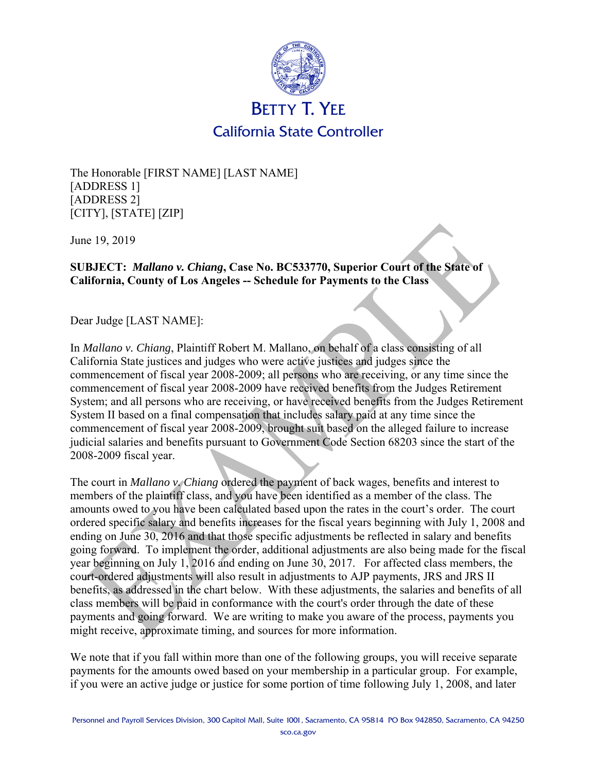

The Honorable [FIRST NAME] [LAST NAME] [ADDRESS 1] [ADDRESS 2] [CITY], [STATE] [ZIP]

June 19, 2019

## **SUBJECT:** *Mallano v. Chiang***, Case No. BC533770, Superior Court of the State of California, County of Los Angeles -- Schedule for Payments to the Class**

Dear Judge [LAST NAME]:

In *Mallano v. Chiang*, Plaintiff Robert M. Mallano, on behalf of a class consisting of all California State justices and judges who were active justices and judges since the commencement of fiscal year 2008-2009; all persons who are receiving, or any time since the commencement of fiscal year 2008-2009 have received benefits from the Judges Retirement System; and all persons who are receiving, or have received benefits from the Judges Retirement System II based on a final compensation that includes salary paid at any time since the commencement of fiscal year 2008-2009, brought suit based on the alleged failure to increase judicial salaries and benefits pursuant to Government Code Section 68203 since the start of the 2008-2009 fiscal year.

The court in *Mallano v. Chiang* ordered the payment of back wages, benefits and interest to members of the plaintiff class, and you have been identified as a member of the class. The amounts owed to you have been calculated based upon the rates in the court's order. The court ordered specific salary and benefits increases for the fiscal years beginning with July 1, 2008 and ending on June 30, 2016 and that those specific adjustments be reflected in salary and benefits going forward. To implement the order, additional adjustments are also being made for the fiscal year beginning on July 1, 2016 and ending on June 30, 2017. For affected class members, the court-ordered adjustments will also result in adjustments to AJP payments, JRS and JRS II benefits, as addressed in the chart below. With these adjustments, the salaries and benefits of all class members will be paid in conformance with the court's order through the date of these payments and going forward. We are writing to make you aware of the process, payments you might receive, approximate timing, and sources for more information.

We note that if you fall within more than one of the following groups, you will receive separate payments for the amounts owed based on your membership in a particular group. For example, if you were an active judge or justice for some portion of time following July 1, 2008, and later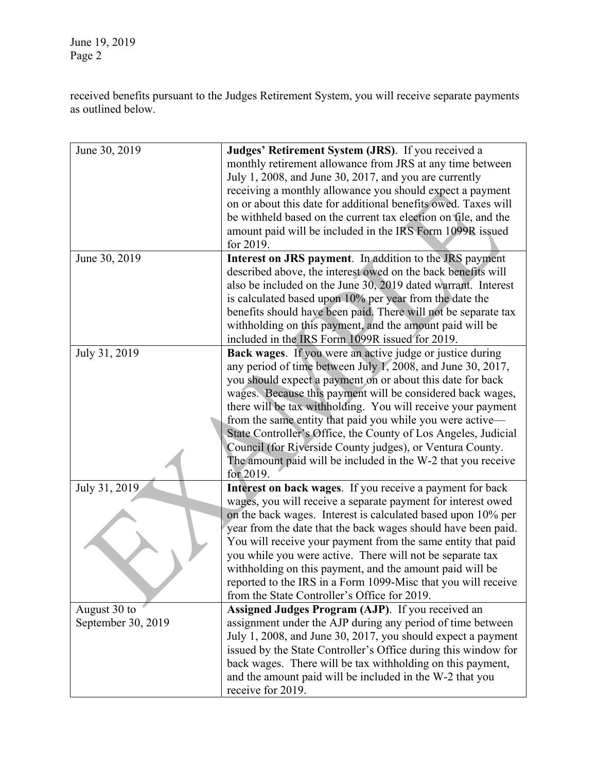June 19, 2019 Page 2

received benefits pursuant to the Judges Retirement System, you will receive separate payments as outlined below.

| June 30, 2019      | Judges' Retirement System (JRS). If you received a               |
|--------------------|------------------------------------------------------------------|
|                    | monthly retirement allowance from JRS at any time between        |
|                    | July 1, 2008, and June 30, 2017, and you are currently           |
|                    | receiving a monthly allowance you should expect a payment        |
|                    | on or about this date for additional benefits owed. Taxes will   |
|                    | be withheld based on the current tax election on file, and the   |
|                    | amount paid will be included in the IRS Form 1099R issued        |
|                    | for 2019.                                                        |
| June 30, 2019      | Interest on JRS payment. In addition to the JRS payment          |
|                    | described above, the interest owed on the back benefits will     |
|                    | also be included on the June 30, 2019 dated warrant. Interest    |
|                    | is calculated based upon 10% per year from the date the          |
|                    | benefits should have been paid. There will not be separate tax   |
|                    | withholding on this payment, and the amount paid will be         |
|                    | included in the IRS Form 1099R issued for 2019.                  |
| July 31, 2019      | <b>Back wages.</b> If you were an active judge or justice during |
|                    | any period of time between July 1, 2008, and June 30, 2017,      |
|                    | you should expect a payment on or about this date for back       |
|                    | wages. Because this payment will be considered back wages,       |
|                    | there will be tax withholding. You will receive your payment     |
|                    | from the same entity that paid you while you were active-        |
|                    | State Controller's Office, the County of Los Angeles, Judicial   |
|                    | Council (for Riverside County judges), or Ventura County.        |
|                    | The amount paid will be included in the W-2 that you receive     |
|                    | for 2019.                                                        |
| July 31, 2019      | Interest on back wages. If you receive a payment for back        |
|                    | wages, you will receive a separate payment for interest owed     |
|                    | on the back wages. Interest is calculated based upon 10% per     |
|                    | year from the date that the back wages should have been paid.    |
|                    | You will receive your payment from the same entity that paid     |
|                    | you while you were active. There will not be separate tax        |
|                    | withholding on this payment, and the amount paid will be         |
|                    | reported to the IRS in a Form 1099-Misc that you will receive    |
|                    | from the State Controller's Office for 2019.                     |
| August 30 to       | Assigned Judges Program (AJP). If you received an                |
| September 30, 2019 | assignment under the AJP during any period of time between       |
|                    | July 1, 2008, and June 30, 2017, you should expect a payment     |
|                    | issued by the State Controller's Office during this window for   |
|                    | back wages. There will be tax withholding on this payment,       |
|                    | and the amount paid will be included in the W-2 that you         |
|                    | receive for 2019.                                                |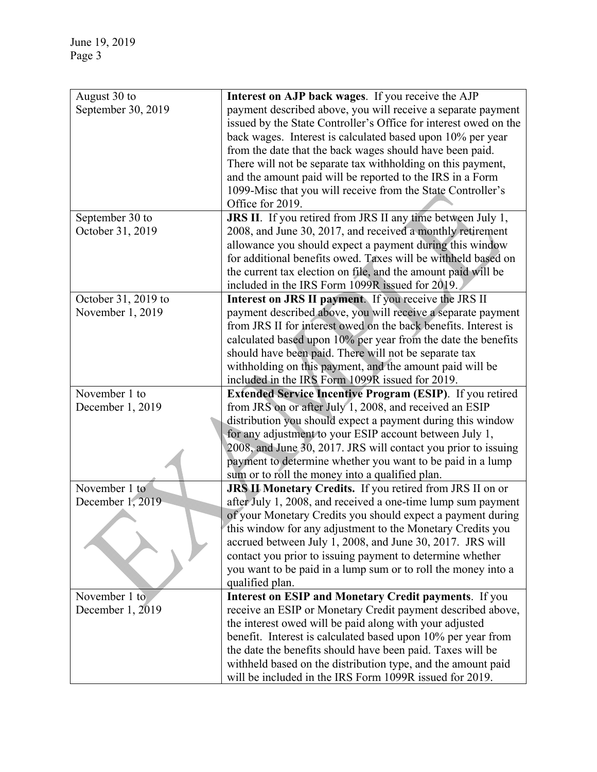| August 30 to        | Interest on AJP back wages. If you receive the AJP                                                                        |
|---------------------|---------------------------------------------------------------------------------------------------------------------------|
| September 30, 2019  | payment described above, you will receive a separate payment                                                              |
|                     | issued by the State Controller's Office for interest owed on the                                                          |
|                     | back wages. Interest is calculated based upon 10% per year                                                                |
|                     | from the date that the back wages should have been paid.                                                                  |
|                     | There will not be separate tax withholding on this payment,                                                               |
|                     | and the amount paid will be reported to the IRS in a Form                                                                 |
|                     | 1099-Misc that you will receive from the State Controller's                                                               |
|                     | Office for 2019.                                                                                                          |
| September 30 to     | JRS II. If you retired from JRS II any time between July 1,                                                               |
| October 31, 2019    | 2008, and June 30, 2017, and received a monthly retirement                                                                |
|                     | allowance you should expect a payment during this window                                                                  |
|                     | for additional benefits owed. Taxes will be withheld based on                                                             |
|                     | the current tax election on file, and the amount paid will be                                                             |
|                     | included in the IRS Form 1099R issued for 2019.                                                                           |
| October 31, 2019 to | Interest on JRS II payment. If you receive the JRS II                                                                     |
| November 1, 2019    | payment described above, you will receive a separate payment                                                              |
|                     | from JRS II for interest owed on the back benefits. Interest is                                                           |
|                     | calculated based upon 10% per year from the date the benefits                                                             |
|                     | should have been paid. There will not be separate tax                                                                     |
|                     | withholding on this payment, and the amount paid will be                                                                  |
|                     | included in the IRS Form 1099R issued for 2019.                                                                           |
| November 1 to       | <b>Extended Service Incentive Program (ESIP).</b> If you retired                                                          |
| December 1, 2019    | from JRS on or after July 1, 2008, and received an ESIP                                                                   |
|                     | distribution you should expect a payment during this window                                                               |
|                     | for any adjustment to your ESIP account between July 1,                                                                   |
|                     | 2008, and June 30, 2017. JRS will contact you prior to issuing                                                            |
|                     | payment to determine whether you want to be paid in a lump                                                                |
|                     | sum or to roll the money into a qualified plan.                                                                           |
| November 1 to       | <b>JRS II Monetary Credits.</b> If you retired from JRS II on or                                                          |
| December 1, 2019    | after July 1, 2008, and received a one-time lump sum payment                                                              |
|                     | of your Monetary Credits you should expect a payment during<br>this window for any adjustment to the Monetary Credits you |
|                     | accrued between July 1, 2008, and June 30, 2017. JRS will                                                                 |
|                     | contact you prior to issuing payment to determine whether                                                                 |
|                     | you want to be paid in a lump sum or to roll the money into a                                                             |
|                     | qualified plan.                                                                                                           |
| November 1 to       | Interest on ESIP and Monetary Credit payments. If you                                                                     |
| December 1, 2019    | receive an ESIP or Monetary Credit payment described above,                                                               |
|                     | the interest owed will be paid along with your adjusted                                                                   |
|                     | benefit. Interest is calculated based upon 10% per year from                                                              |
|                     | the date the benefits should have been paid. Taxes will be                                                                |
|                     | withheld based on the distribution type, and the amount paid                                                              |
|                     | will be included in the IRS Form 1099R issued for 2019.                                                                   |